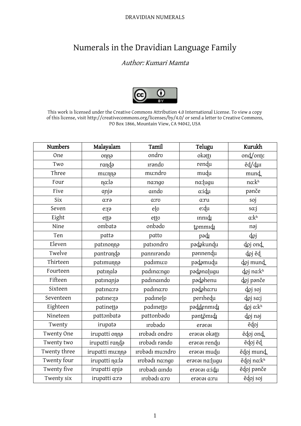#### DRAVIDIAN NUMERALS

# Numerals in the Dravidian Language Family

## Author: Kumari Mamta



This work is licensed under the Creative Commons Attribution 4.0 International License. To view a copy of this license, visit http://creativecommons.org/licenses/by/4.0/ or send a letter to Creative Commons, PO Box 1866, Mountain View, CA 94042, USA

| <b>Numbers</b> | Malayalam       | Tamil           | Telugu          | Kurukh           |
|----------------|-----------------|-----------------|-----------------|------------------|
| One            | onna            | ondro           | okattı          | ond/onte         |
| Two            | randa           | <b>Irando</b>   | rendu           | ed/dui           |
| Three          | mu:nna          | mu:ndro         | mudu            | mund             |
| Four           | na:lə           | na:ngo          | na: lugu        | na:kh            |
| Five           | anja            | amdo            | a:idµ           | panče            |
| <b>Six</b>     | a:rə            | a:ro            | a:ru            | soj              |
| Seven          | e:ra            | $e$ [ $\sigma$  | e:du            | sa:j             |
| Eight          | etta            | etto            | mnidi           | a:k <sup>h</sup> |
| Nine           | ombata          | onbado          | tommıdı         | nəj              |
| Ten            | patta           | patto           | pədr            | doj              |
| Eleven         | patmonna        | pationdro       | padakundu       | doj ond          |
| Twelve         | pantranda       | pannırando      | pannendu        | doj ẽd           |
| Thirteen       | patımunna       | padımu:o        | padamudu        | doj mund         |
| Fourteen       | patinala        | padma:ngo       | pədənalugu      | doj na:kh        |
| Fifteen        | patınanja       | padınaındo      | padahenu        | doj panče        |
| Sixteen        | patina:ra       | padina:ro       | padaha:ru       | doj soj          |
| Seventeen      | patine:ra       | padinely        | perihedu        | doj sa:j         |
| Eighteen       | patinetta       | padmetto        | paddenmıdı      | doj a:kh         |
| Nineteen       | pattonbata      | pattonbado      | pəntõmıdı       | doj naj          |
| Twenty         | irupata         | <b>rrobado</b>  | eravar          | ẽdoj             |
| Twenty One     | irupatti onna   | ırobadı ondro   | eravai okatti   | ẽdoj ond         |
| Twenty two     | irupatti randa  | ırobadı rando   | eravai rendu    | ẽdoj ẽd          |
| Twenty three   | irupatti mu:nna | ırobədi mu:ndro | eravai mudu     | ẽdoj mund        |
| Twenty four    | irupatti na:la  | ırobədi na:ngo  | eravai na: lugu | ẽdoj na:kh       |
| Twenty five    | irupatti anja   | ırobadı aindo   | eravai a:idu    | ẽdoj panče       |
| Twenty six     | irupatti a:ra   | ırobədi a:ro    | eravai a:ru     | ẽdoj soj         |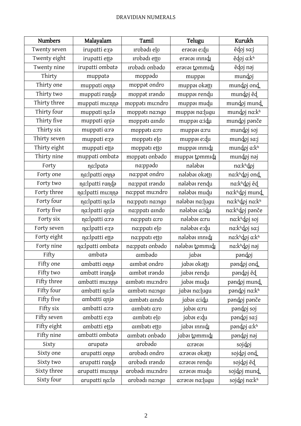### DRAVIDIAN NUMERALS

| <b>Numbers</b> | Malayalam          | Tamil               | Telugu           | Kurukh         |
|----------------|--------------------|---------------------|------------------|----------------|
| Twenty seven   | irupatti e:ra      | ırobədi elo         | eravai e:du      | ẽdoj sa:j      |
| Twenty eight   | irupatti etta      | <b>Irobadi</b> etto | eravai innidi    | ẽdoj a:kh      |
| Twenty nine    | irupatti ombata    | ırobadı onbado      | eravai tommidi   | ẽdoj nəj       |
| Thirty         | muppata            | moppado             | muppar           | mundoj         |
| Thirty one     | muppati onna       | moppat ondro        | muppar okattı    | mundoj ond     |
| Thirty two     | muppati randa      | moppat <i>rando</i> | muppar rendu     | mundoj ed      |
| Thirty three   | muppati mu:nna     | moppatı mu:ndro     | muppar mudu      | mundoj mund    |
| Thirty four    | muppati na:la      | moppatı na:ngo      | muppar na: lugu  | mundoj na:kh   |
| Thirty five    | muppati anja       | moppati aindo       | muppar a:idu     | mundoj panče   |
| Thirty six     | muppati a:ra       | moppati a:ro        | muppar a:ru      | mundoj soj     |
| Thirty seven   | muppati e:ra       | moppatı elo         | muppar e:du      | mundoj sa:j    |
| Thirty eight   | muppati etta       | moppati etto        | muppar mnrd      | mundoj a:kh    |
| Thirty nine    | muppati ombata     | muppatı onbadu      | muppar tommıdı   | mundoj naj     |
| Forty          | na: lpata          | na:ppədo            | nələbəi          | na:khdoj       |
| Forty one      | na: lpatti onna    | na:ppət ondro       | nələbəi okətti   | na:khdoj ond   |
| Forty two      | na: lpatti randa   | na:ppat Irando      | nələbəi rendu    | na:khdoj ẽd    |
| Forty three    | na: lpatti mu: nna | na:ppat mu:ndro     | nələbəi mudu     | na:khdoj mund  |
| Forty four     | na: lpatti na: la  | na:ppatı na:ngo     | nələbəi na: lugu | na:khdoj na:kh |
| Forty five     | na: lpatti anja    | na:ppatı aindo      | nələbəi a:idu    | na:khdoj panče |
| Forty six      | na:lpatti a:ra     | na:ppatı a:ro       | nələbəi a:ru     | na:khdoj soj   |
| Forty seven    | na:lpatti e:ra     | na:ppatı elo        | nələbəi e:du     | na:khdoj sa:j  |
| Forty eight    | na: lpatti etta    | na:ppatı etto       | nələbəi innidi   | na:khdoj a:kh  |
| Forty nine     | na: lpatti ombata  | na:ppatı onbədo     | nələbəi tommıdı  | na:khdoj nəj   |
| Fifty          | ambatə             | aimbədo             | jabəi            | pəndoj         |
| Fifty one      | ambatti onna       | aimbat ondro        | jabəi okattı     | pandoj ond     |
| Fifty two      | ambatt iranda      | aimbət irəndo       | jabai rendu      | pəndoj ed      |
| Fifty three    | ambatti mu:nna     | ambatı mu:ndro      | jabai mudu       | pandoj mund    |
| Fifty four     | ambatti na:la      | ambatı na:ngo       | jabəi na: lugu   | pandoj na:kh   |
| Fifty five     | ambatti anja       | aimbati aindo       | jabəi a:idu      | pandoj panče   |
| Fifty six      | ambatti a:ra       | ambatı a:ro         | jabəi a:ru       | pandoj soj     |
| Fifty seven    | ambatti e:ra       | ambatı elo          | jabəi e:du       | pəndoj sa:j    |
| Fifty eight    | ambatti etta       | ambatı etto         | jabəi innidi     | pandoj a:kh    |
| Fifty nine     | ambatti ombata     | ambatı onbado       | jabəi tommıdı    | pəndoj nəj     |
| Sixty          | arupata            | arobado             | a:ravaI          | sojdoj         |
| Sixty one      | arupatti onna      | arobadı ondro       | a:rəvəi okətti   | sojdoj ond     |
| Sixty two      | arupatti randa     | arobadı ırando      | a:ravai rendu    | sojdoj ed      |
| Sixty three    | arupatti mu:nna    | arobadı mu:ndro     | a:ravai mudu     | sojdoj mund    |
| Sixty four     | arupatti na:la     | arvbədi na:ngo      | a:rəvəi na: lugu | sojdoj na:kh   |